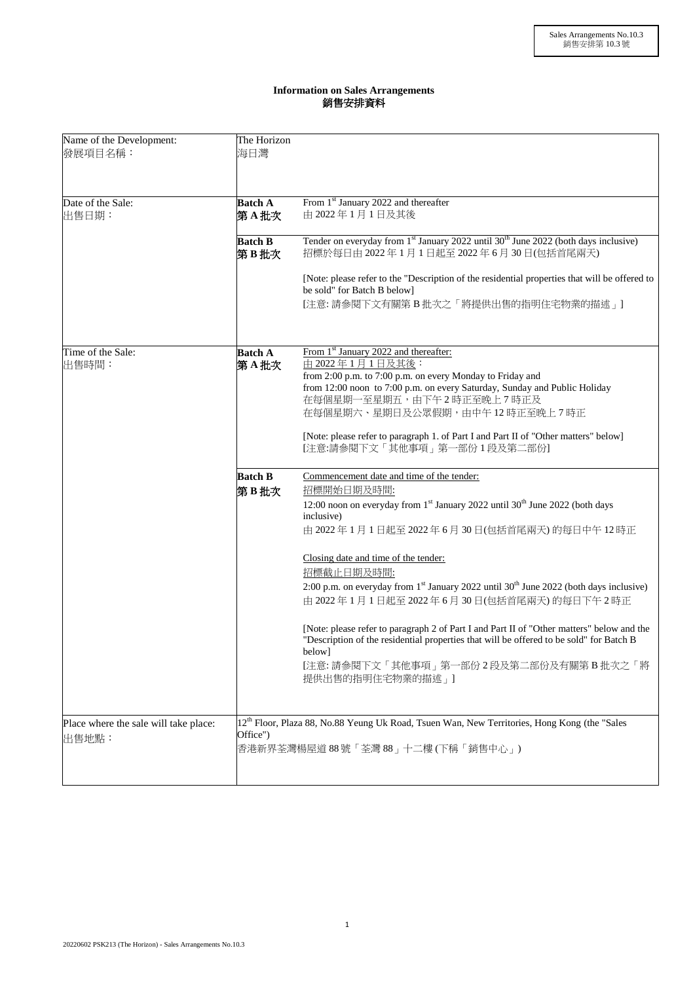## **Information on Sales Arrangements** 銷售安排資料

| Name of the Development:<br>發展項目名稱:            | The Horizon<br>海日灣                                                                                                                                      |                                                                                                                                                                                                                                                                                                                                                                                                                                                                                                                                                                                                                                       |  |
|------------------------------------------------|---------------------------------------------------------------------------------------------------------------------------------------------------------|---------------------------------------------------------------------------------------------------------------------------------------------------------------------------------------------------------------------------------------------------------------------------------------------------------------------------------------------------------------------------------------------------------------------------------------------------------------------------------------------------------------------------------------------------------------------------------------------------------------------------------------|--|
| Date of the Sale:<br>出售日期:                     | <b>Batch A</b><br>第A批次                                                                                                                                  | From 1 <sup>st</sup> January 2022 and thereafter<br>由 2022年1月1日及其後                                                                                                                                                                                                                                                                                                                                                                                                                                                                                                                                                                    |  |
|                                                | <b>Batch B</b><br>第B批次                                                                                                                                  | Tender on everyday from 1 <sup>st</sup> January 2022 until 30 <sup>th</sup> June 2022 (both days inclusive)<br>招標於每日由 2022年1月1日起至 2022年6月 30日(包括首尾兩天)                                                                                                                                                                                                                                                                                                                                                                                                                                                                                 |  |
|                                                |                                                                                                                                                         | [Note: please refer to the "Description of the residential properties that will be offered to<br>be sold" for Batch B below]<br>[注意: 請參閱下文有關第 B批次之「將提供出售的指明住宅物業的描述」]                                                                                                                                                                                                                                                                                                                                                                                                                                                                  |  |
| Time of the Sale:<br>出售時間:                     | <b>Batch A</b><br>第A批次                                                                                                                                  | From 1 <sup>st</sup> January 2022 and thereafter:<br>由 2022年1月1日及其後:<br>from 2:00 p.m. to 7:00 p.m. on every Monday to Friday and<br>from 12:00 noon to 7:00 p.m. on every Saturday, Sunday and Public Holiday<br>在每個星期一至星期五,由下午2時正至晚上7時正及<br>在每個星期六、星期日及公眾假期,由中午12時正至晚上7時正<br>[Note: please refer to paragraph 1. of Part I and Part II of "Other matters" below]<br>[注意:請參閱下文「其他事項」第一部份1段及第二部份]                                                                                                                                                                                                                                     |  |
|                                                | <b>Batch B</b><br>第B批次                                                                                                                                  | Commencement date and time of the tender:<br>招標開始日期及時間:<br>12:00 noon on everyday from 1 <sup>st</sup> January 2022 until 30 <sup>th</sup> June 2022 (both days<br>inclusive)<br>由 2022年1月1日起至 2022年6月30日(包括首尾兩天)的每日中午12時正<br>Closing date and time of the tender:<br>招標截止日期及時間:<br>2:00 p.m. on everyday from 1 <sup>st</sup> January 2022 until 30 <sup>th</sup> June 2022 (both days inclusive)<br>由 2022年1月1日起至2022年6月30日(包括首尾兩天)的每日下午2時正<br>[Note: please refer to paragraph 2 of Part I and Part II of "Other matters" below and the<br>"Description of the residential properties that will be offered to be sold" for Batch B |  |
|                                                |                                                                                                                                                         | below]<br>[注意: 請參閱下文「其他事項」第一部份2段及第二部份及有關第B批次之「將<br>提供出售的指明住宅物業的描述 」                                                                                                                                                                                                                                                                                                                                                                                                                                                                                                                                                                   |  |
| Place where the sale will take place:<br>出售地點: | 12 <sup>th</sup> Floor, Plaza 88, No.88 Yeung Uk Road, Tsuen Wan, New Territories, Hong Kong (the "Sales<br>Office")<br>香港新界荃灣楊屋道88號「荃灣88」十二樓(下稱「銷售中心」) |                                                                                                                                                                                                                                                                                                                                                                                                                                                                                                                                                                                                                                       |  |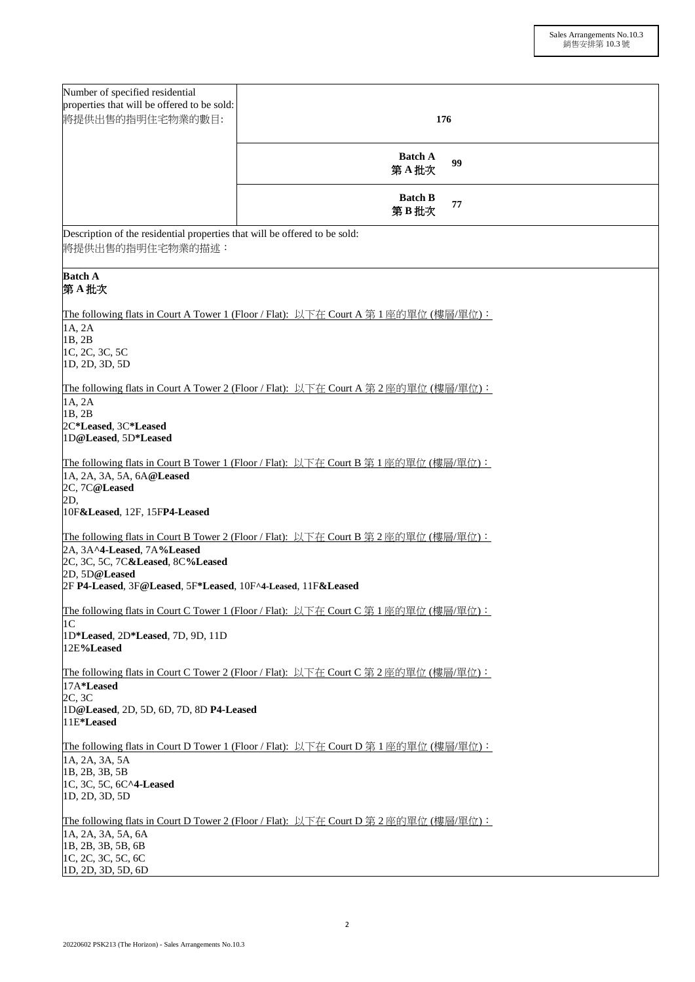| Number of specified residential<br>properties that will be offered to be sold:<br>將提供出售的指明住宅物業的數目:                                                                    | 176                                                                                         |  |  |  |
|-----------------------------------------------------------------------------------------------------------------------------------------------------------------------|---------------------------------------------------------------------------------------------|--|--|--|
|                                                                                                                                                                       | <b>Batch A</b><br>99<br>第A批次                                                                |  |  |  |
|                                                                                                                                                                       | <b>Batch B</b><br>77<br>第B批次                                                                |  |  |  |
| Description of the residential properties that will be offered to be sold:<br>將提供出售的指明住宅物業的描述:                                                                        |                                                                                             |  |  |  |
| <b>Batch A</b><br>第A批次                                                                                                                                                |                                                                                             |  |  |  |
| 1A, 2A<br>1B, 2B<br>1C, 2C, 3C, 5C<br>1D, 2D, 3D, 5D                                                                                                                  | The following flats in Court A Tower 1 (Floor / Flat): 以下在 Court A 第 1 座的單位 (樓層/單位):        |  |  |  |
| The following flats in Court A Tower 2 (Floor / Flat): 以下在 Court A 第 2 座的單位 (樓層/單位):<br>1A, 2A<br>1B, 2B<br>2C*Leased, 3C*Leased<br>1D@Leased, 5D*Leased              |                                                                                             |  |  |  |
| 1A, 2A, 3A, 5A, 6A@Leased<br>2C, 7C@Leased<br>2D,<br>10F&Leased, 12F, 15FP4-Leased                                                                                    | The following flats in Court B Tower 1 (Floor / Flat): 以下在 Court B 第 1 座的單位 (樓層/單位):        |  |  |  |
| 2A, 3A^4-Leased, 7A%Leased<br>2C, 3C, 5C, 7C&Leased, 8C%Leased<br>2D, 5D@Leased<br>2F P4-Leased, 3F@Leased, 5F*Leased, 10F^4-Leased, 11F&Leased                       | <b>The following flats in Court B Tower 2 (Floor / Flat):</b> 以下在 Court B 第 2 座的單位 (樓層/單位): |  |  |  |
| The following flats in Court C Tower 1 (Floor / Flat): 以下在 Court C 第 1 座的單位 (樓層/單位):<br>1 <sup>C</sup><br>1D*Leased, 2D*Leased, 7D, 9D, 11D<br>12E%Leased             |                                                                                             |  |  |  |
| The following flats in Court C Tower 2 (Floor / Flat): 以下在 Court C 第 2 座的單位 (樓層/單位):<br>17A*Leased<br>2C, 3C                                                          |                                                                                             |  |  |  |
| 1D@Leased, 2D, 5D, 6D, 7D, 8D P4-Leased<br>11E*Leased                                                                                                                 |                                                                                             |  |  |  |
| The following flats in Court D Tower 1 (Floor / Flat): 以下在 Court D 第 1 座的單位 (樓層/單位):<br>1A, 2A, 3A, 5A<br>1B, 2B, 3B, 5B<br>1C, 3C, 5C, 6C^4-Leased<br>1D, 2D, 3D, 5D |                                                                                             |  |  |  |
| 1A, 2A, 3A, 5A, 6A<br>1B, 2B, 3B, 5B, 6B<br>1C, 2C, 3C, 5C, 6C<br>1D, 2D, 3D, 5D, 6D                                                                                  | The following flats in Court D Tower 2 (Floor / Flat): 以下在 Court D 第 2 座的單位 (樓層/單位):        |  |  |  |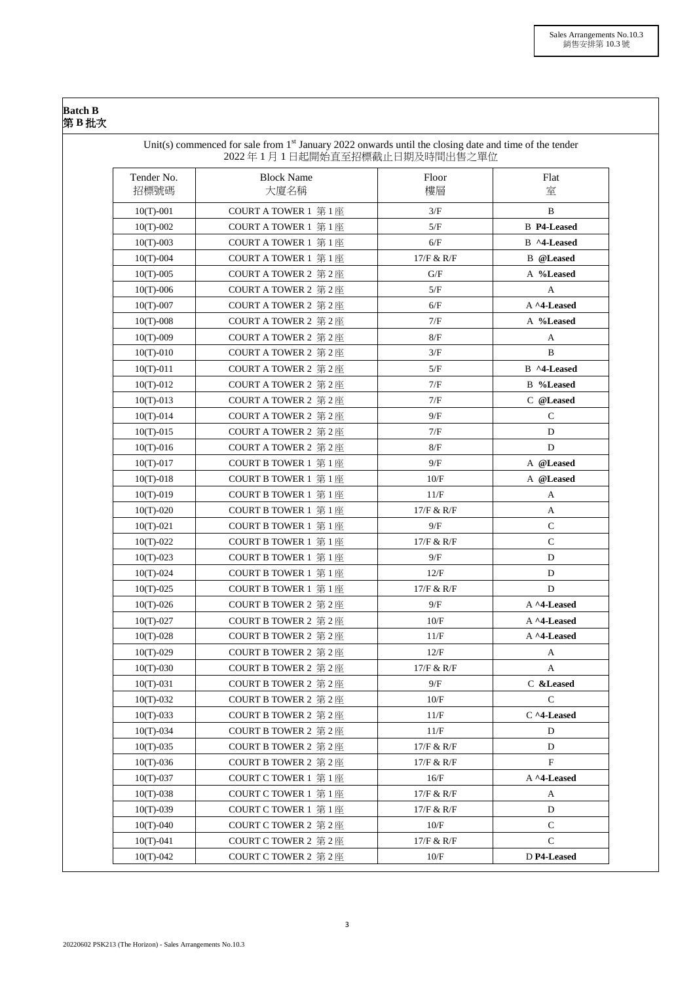## **Batch B**  第 **B** 批次

| Tender No.<br>招標號碼 | <b>Block Name</b><br>大廈名稱                         | Floor<br>樓層 | Flat<br>室          |
|--------------------|---------------------------------------------------|-------------|--------------------|
|                    |                                                   |             |                    |
| $10(T)-001$        | COURT A TOWER 1 第1座                               | 3/F         | $\mathbf B$        |
| $10(T)-002$        | COURT A TOWER 1 第1座                               | 5/F         | <b>B</b> P4-Leased |
| $10(T)-003$        | COURT A TOWER $1 \circledast 1 \circledast$       | 6/F         | B ^4-Leased        |
| $10(T)-004$        | COURT A TOWER 1 第1座                               | 17/F & R/F  | <b>B</b> @Leased   |
| $10(T)-005$        | COURT A TOWER 2 第2座                               | G/F         | A %Leased          |
| $10(T)-006$        | COURT A TOWER 2 $\frac{66}{52}$ 2 $\frac{66}{52}$ | 5/F         | A                  |
| $10(T)-007$        | COURT A TOWER 2 第2座                               | 6/F         | A ^4-Leased        |
| $10(T)-008$        | COURT A TOWER 2 第2座                               | 7/F         | A %Leased          |
| $10(T)-009$        | COURT A TOWER 2 第2座                               | 8/F         | A                  |
| $10(T)-010$        | COURT A TOWER 2 第2座                               | 3/F         | B                  |
| $10(T)-011$        | COURT A TOWER 2 第2座                               | 5/F         | B ^4-Leased        |
| $10(T)-012$        | COURT A TOWER 2 第2座                               | 7/F         | <b>B</b> %Leased   |
| $10(T)-013$        | COURT A TOWER 2 第2座                               | 7/F         | C @Leased          |
| $10(T)-014$        | COURT A TOWER 2 第2座                               | 9/F         | $\mathsf{C}$       |
| $10(T)-015$        | COURT A TOWER 2 第2座                               | 7/F         | D                  |
| $10(T)-016$        | COURT A TOWER 2 第2座                               | 8/F         | D                  |
| $10(T)-017$        | COURT B TOWER 1 第1座                               | 9/F         | A @Leased          |
| $10(T)-018$        | COURT B TOWER 1 $\frac{66}{10}$ 1 $\frac{1}{20}$  | 10/F        | A @Leased          |
| $10(T)-019$        | <b>COURT B TOWER 1 第1座</b>                        | 11/F        | A                  |
| $10(T)-020$        | COURT B TOWER 1 第1座                               | 17/F & R/F  | A                  |
| $10(T)-021$        | COURT B TOWER 1 第1座                               | 9/F         | ${\bf C}$          |
| $10(T)-022$        | COURT B TOWER 1 $\frac{66}{10}$ 1 $\frac{1}{20}$  | 17/F & R/F  | ${\bf C}$          |
| $10(T)-023$        | COURT B TOWER 1 第1座                               | 9/F         | D                  |
| $10(T)-024$        | COURT B TOWER 1 第1座                               | 12/F        | D                  |
| $10(T)-025$        | COURT B TOWER 1 第1座                               | 17/F & R/F  | D                  |
| $10(T)-026$        | COURT B TOWER 2 第2座                               | 9/F         | A ^4-Leased        |
| $10(T)-027$        | COURT B TOWER 2 第2座                               | 10/F        | A ^4-Leased        |
| $10(T)-028$        | COURT B TOWER 2 第2座                               | 11/F        | A ^4-Leased        |
| $10(T)-029$        | COURT B TOWER 2 第2座                               | 12/F        | A                  |
| $10(T)-030$        | COURT B TOWER 2 第2座                               | 17/F & R/F  | A                  |
| $10(T)-031$        | COURT B TOWER 2 第2座                               | 9/F         | C &Leased          |
| $10(T)-032$        | COURT B TOWER 2 第2座                               | 10/F        | $\mathbf C$        |
| $10(T)-033$        | COURT B TOWER 2 第2座                               | 11/F        | C ^4-Leased        |
| $10(T)-034$        | COURT B TOWER 2 第2座                               | 11/F        | D                  |
| $10(T)-035$        | COURT B TOWER 2 第2座                               | 17/F & R/F  | D                  |
| $10(T)-036$        | COURT B TOWER 2 第2座                               | 17/F & R/F  | $\mathbf F$        |
| $10(T)-037$        | COURT C TOWER 1 第1座                               | 16/F        | A ^4-Leased        |
| $10(T)-038$        | COURT C TOWER 1 第1座                               | 17/F & R/F  | A                  |
| $10(T)-039$        | COURT C TOWER 1 第1座                               | 17/F & R/F  | D                  |
| $10(T)-040$        | COURT C TOWER 2 第2座                               | 10/F        | $\mathbf C$        |
| $10(T)-041$        | COURT C TOWER 2 第2座                               | 17/F & R/F  | $\mathsf{C}$       |
| $10(T)-042$        | COURT C TOWER 2 第2座                               | 10/F        | D P4-Leased        |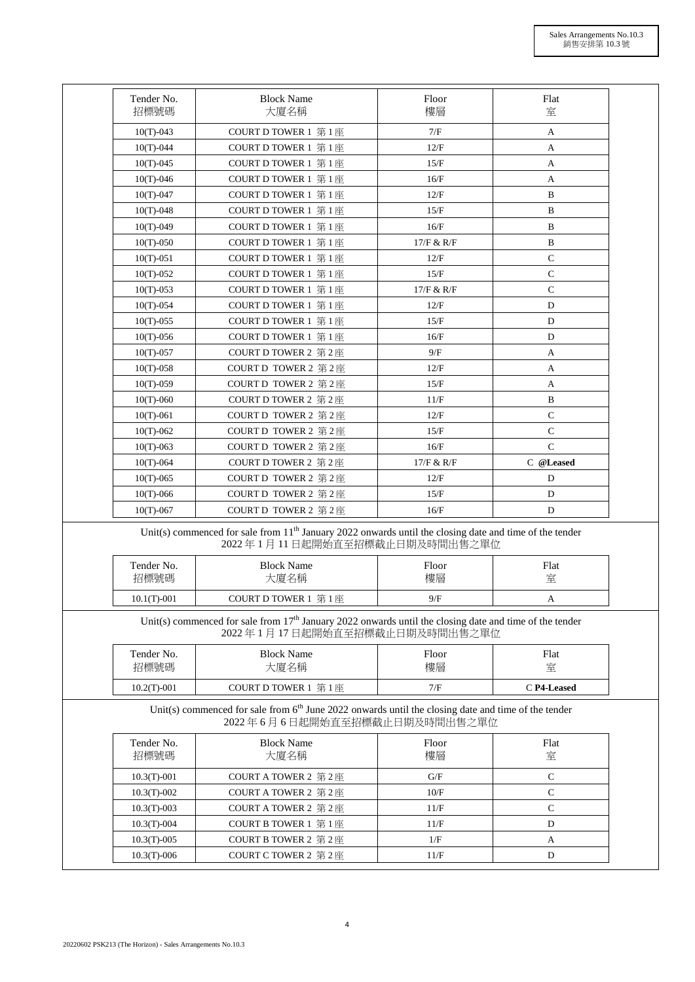| Tender No.                 | <b>Block Name</b>                                                                                                                          | Floor        | Flat             |
|----------------------------|--------------------------------------------------------------------------------------------------------------------------------------------|--------------|------------------|
| 招標號碼                       | 大廈名稱                                                                                                                                       | 樓層           | 室                |
| $10(T)-043$                | COURT D TOWER 1 第1座                                                                                                                        | 7/F          | A                |
| $10(T)-044$                | COURT D TOWER 1 第1座                                                                                                                        | 12/F         | A                |
| $10(T)-045$                | COURT D TOWER 1 第1座                                                                                                                        | 15/F         | A                |
| $10(T)-046$                | COURT D TOWER 1 第1座                                                                                                                        | 16/F         | A                |
| $10(T)-047$                | COURT D TOWER 1 第1座                                                                                                                        | 12/F         | B                |
| $10(T)-048$                | COURT D TOWER 1 第1座                                                                                                                        | 15/F         | $\, {\bf B}$     |
| $10(T)-049$                | COURT D TOWER 1 第1座                                                                                                                        | 16/F         | B                |
| $10(T)-050$                | COURT D TOWER 1 第1座                                                                                                                        | 17/F & R/F   | $\, {\bf B}$     |
| $10(T)-051$                | COURT D TOWER 1 第1座                                                                                                                        | 12/F         | $\mathbf C$      |
| $10(T)-052$                | COURT D TOWER 1 第1座                                                                                                                        | 15/F         | $\mathbf C$      |
| $10(T)-053$                | COURT D TOWER 1 第1座                                                                                                                        | 17/F & R/F   | ${\bf C}$        |
| $10(T)-054$                | COURT D TOWER 1 第1座                                                                                                                        | 12/F         | D                |
| $10(T)-055$                | COURT D TOWER 1 第1座                                                                                                                        | 15/F         | D                |
| $10(T)-056$                | COURT D TOWER 1 第1座                                                                                                                        | 16/F         | D                |
| $10(T)-057$                | COURT D TOWER 2 第2座                                                                                                                        | 9/F          | A                |
| $10(T)-058$                | COURT D TOWER 2 第2座                                                                                                                        | 12/F         | A                |
| $10(T)-059$                | COURT D TOWER 2 第2座                                                                                                                        | 15/F         | A                |
| $10(T)-060$                | COURT D TOWER 2 第2座                                                                                                                        | 11/F         | $\, {\bf B}$     |
| $10(T)-061$                | COURT D TOWER 2 第2座                                                                                                                        | 12/F         | $\mathbf C$      |
| $10(T)-062$                | COURT D TOWER 2 第2座                                                                                                                        | 15/F         | $\mathsf{C}$     |
|                            | COURT D TOWER 2 第2座                                                                                                                        | 16/F         | $\mathbf C$      |
| $10(T)-063$                |                                                                                                                                            |              | C @Leased        |
| $10(T)-064$                | COURT D TOWER 2 第2座<br>COURT D TOWER 2 第2座                                                                                                 | 17/F & R/F   |                  |
| $10(T)-065$                |                                                                                                                                            | 12/F<br>15/F | D<br>$\mathbf D$ |
| $10(T)-066$<br>$10(T)-067$ | COURT D TOWER 2 第2座<br>COURT D TOWER 2 第2座                                                                                                 | 16/F         | D                |
|                            |                                                                                                                                            |              |                  |
|                            | Unit(s) commenced for sale from $11th$ January 2022 onwards until the closing date and time of the tender<br>2022年1月11日起開始直至招標截止日期及時間出售之單位 |              |                  |
| Tender No.                 | <b>Block Name</b>                                                                                                                          | Floor        | Flat             |
| 招標號碼                       | 大廈名稱                                                                                                                                       | 樓層           | 室                |
| $10.1(T)-001$              | COURT D TOWER 1 第1座                                                                                                                        | 9/F          | A                |
|                            | Unit(s) commenced for sale from $17th$ January 2022 onwards until the closing date and time of the tender                                  |              |                  |
|                            | 2022年1月17日起開始直至招標截止日期及時間出售之單位                                                                                                              |              |                  |
| Tender No.                 | <b>Block Name</b>                                                                                                                          | Floor        | Flat             |
| 招標號碼                       | 大廈名稱                                                                                                                                       | 樓層           | 室                |
| $10.2(T)-001$              | COURT D TOWER 1 第1座                                                                                                                        | 7/F          | C P4-Leased      |
|                            | Unit(s) commenced for sale from $6th$ June 2022 onwards until the closing date and time of the tender<br>2022年6月6日起開始直至招標截止日期及時間出售之單位      |              |                  |
| Tender No.                 | <b>Block Name</b>                                                                                                                          | Floor        | Flat             |
| 招標號碼                       | 大廈名稱                                                                                                                                       | 樓層           | 室                |
| $10.3(T)-001$              | COURT A TOWER 2 第2座                                                                                                                        | G/F          | $\mathsf{C}$     |
| $10.3(T)-002$              | COURT A TOWER 2 第2座                                                                                                                        | 10/F         | ${\bf C}$        |
| $10.3(T)-003$              | COURT A TOWER 2 第2座                                                                                                                        | 11/F         | ${\bf C}$        |
| $10.3(T)-004$              | COURT B TOWER 1 第1座                                                                                                                        | 11/F         | D                |
| $10.3(T)-005$              | COURT B TOWER 2 第2座                                                                                                                        | 1/F          | A                |
|                            |                                                                                                                                            |              |                  |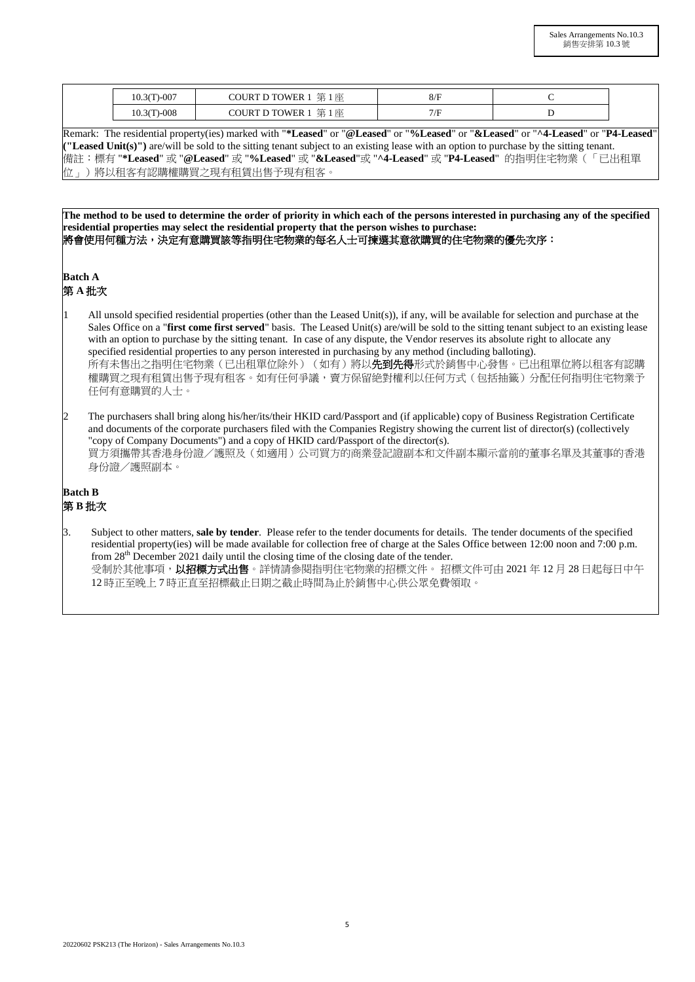| $\Gamma$ -007  | 第<br>1座<br>TOWER 1<br><b>OURT L</b>                           | ◡៸        |  |
|----------------|---------------------------------------------------------------|-----------|--|
| $-008$<br>10.3 | 第<br><b>COURT D TOWER 1</b><br>1座<br>$\overline{\phantom{a}}$ | $\sqrt{}$ |  |

Remark: The residential property(ies) marked with "**\*Leased**" or "**@Leased**" or "**%Leased**" or "**&Leased**" or "**^4-Leased**" or "**P4-Leased**" **("Leased Unit(s)")** are/will be sold to the sitting tenant subject to an existing lease with an option to purchase by the sitting tenant. 備註:標有 "**\*Leased**" 或 "**@Leased**" 或 "**%Leased**" 或 "**&Leased**"或 "**^4-Leased**" 或 "**P4-Leased**"的指明住宅物業(「已出租單 位」)將以租客有認購權購買之現有租賃出售予現有租客。

**The method to be used to determine the order of priority in which each of the persons interested in purchasing any of the specified residential properties may select the residential property that the person wishes to purchase:** 將會使用何種方法,決定有意購買該等指明住宅物業的每名人士可揀選其意欲購買的住宅物業的優先次序:

**Batch A** 

第 **A** 批次

- All unsold specified residential properties (other than the Leased Unit(s)), if any, will be available for selection and purchase at the Sales Office on a "**first come first served**" basis. The Leased Unit(s) are/will be sold to the sitting tenant subject to an existing lease with an option to purchase by the sitting tenant. In case of any dispute, the Vendor reserves its absolute right to allocate any specified residential properties to any person interested in purchasing by any method (including balloting). 所有未售出之指明住宅物業(已出租單位除外)(如有)將以**先到先得**形式於銷售中心發售。已出租單位將以租客有認購 權購買之現有租賃出售予現有租客。如有任何爭議,賣方保留絶對權利以任何方式(包括抽籤)分配任何指明住宅物業予 任何有意購買的人士。
- 2 The purchasers shall bring along his/her/its/their HKID card/Passport and (if applicable) copy of Business Registration Certificate and documents of the corporate purchasers filed with the Companies Registry showing the current list of director(s) (collectively "copy of Company Documents") and a copy of HKID card/Passport of the director(s). 買方須攜帶其香港身份證/護照及(如適用)公司買方的商業登記證副本和文件副本顯示當前的董事名單及其董事的香港 身份證/護照副本。

## **Batch B**  第 **B** 批次

- 3. Subject to other matters, **sale by tender**. Please refer to the tender documents for details. The tender documents of the specified residential property(ies) will be made available for collection free of charge at the Sales Office between 12:00 noon and 7:00 p.m. from 28th December 2021 daily until the closing time of the closing date of the tender.
	- 受制於其他事項, 以招標方式出售。詳情請參閱指明住宅物業的招標文件。 招標文件可由 2021 年 12 月 28 日起每日中午 12 時正至晚上 7 時正直至招標截止日期之截止時間為止於銷售中心供公眾免費領取。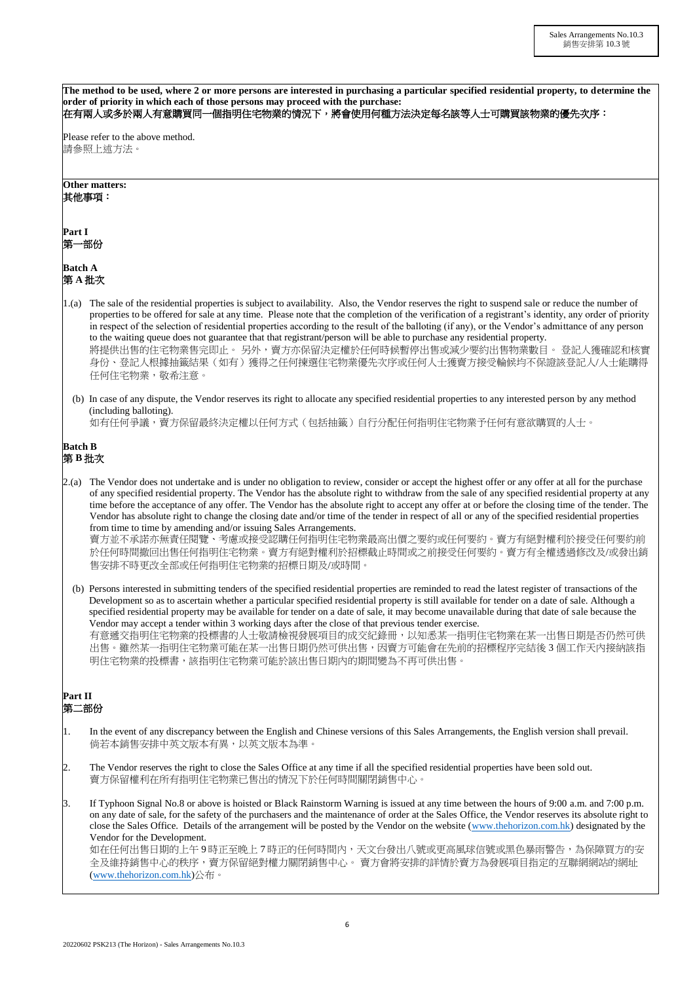|                        | The method to be used, where 2 or more persons are interested in purchasing a particular specified residential property, to determine the<br>order of priority in which each of those persons may proceed with the purchase:<br>在有兩人或多於兩人有意購買同一個指明住宅物業的情況下,將會使用何種方法決定每名該等人士可購買該物業的優先次序:                                                                                                                                                                                                                                                                                                                                                                                                                                                                                                                                              |
|------------------------|--------------------------------------------------------------------------------------------------------------------------------------------------------------------------------------------------------------------------------------------------------------------------------------------------------------------------------------------------------------------------------------------------------------------------------------------------------------------------------------------------------------------------------------------------------------------------------------------------------------------------------------------------------------------------------------------------------------------------------------------------------------------------------------------------------------------------------------|
|                        | Please refer to the above method.<br>請參照上述方法。                                                                                                                                                                                                                                                                                                                                                                                                                                                                                                                                                                                                                                                                                                                                                                                        |
|                        | Other matters:<br>其他事項:                                                                                                                                                                                                                                                                                                                                                                                                                                                                                                                                                                                                                                                                                                                                                                                                              |
| Part I<br>第一部份         |                                                                                                                                                                                                                                                                                                                                                                                                                                                                                                                                                                                                                                                                                                                                                                                                                                      |
| <b>Batch A</b><br>第A批次 |                                                                                                                                                                                                                                                                                                                                                                                                                                                                                                                                                                                                                                                                                                                                                                                                                                      |
| 1.(a)                  | The sale of the residential properties is subject to availability. Also, the Vendor reserves the right to suspend sale or reduce the number of<br>properties to be offered for sale at any time. Please note that the completion of the verification of a registrant's identity, any order of priority<br>in respect of the selection of residential properties according to the result of the balloting (if any), or the Vendor's admittance of any person<br>to the waiting queue does not guarantee that that registrant/person will be able to purchase any residential property.<br>將提供出售的住宅物業售完即止。 另外,賣方亦保留決定權於任何時候暫停出售或減少要約出售物業數目。 登記人獲確認和核實<br>身份、登記人根據抽籤結果(如有)獲得之任何揀選住宅物業優先次序或任何人士獲賣方接受輪候均不保證該登記人/人士能購得<br>任何住宅物業,敬希注意。                                                                                                     |
|                        | (b) In case of any dispute, the Vendor reserves its right to allocate any specified residential properties to any interested person by any method<br>(including balloting).<br>如有任何爭議,賣方保留最終決定權以任何方式(包括抽籤)自行分配任何指明住宅物業予任何有意欲購買的人士。                                                                                                                                                                                                                                                                                                                                                                                                                                                                                                                                                                                                   |
| <b>Batch B</b><br>第B批次 |                                                                                                                                                                                                                                                                                                                                                                                                                                                                                                                                                                                                                                                                                                                                                                                                                                      |
| 2(a)                   | The Vendor does not undertake and is under no obligation to review, consider or accept the highest offer or any offer at all for the purchase<br>of any specified residential property. The Vendor has the absolute right to withdraw from the sale of any specified residential property at any<br>time before the acceptance of any offer. The Vendor has the absolute right to accept any offer at or before the closing time of the tender. The<br>Vendor has absolute right to change the closing date and/or time of the tender in respect of all or any of the specified residential properties<br>from time to time by amending and/or issuing Sales Arrangements.<br>賣方並不承諾亦無責任閱覽、考慮或接受認購任何指明住宅物業最高出價之要約或任何要約。賣方有絕對權利於接受任何要約前<br>於任何時間撤回出售任何指明住宅物業。賣方有絕對權利於招標截止時間或之前接受任何要約。賣方有全權透過修改及/或發出銷<br>售安排不時更改全部或任何指明住宅物業的招標日期及/或時間。 |
|                        | (b) Persons interested in submitting tenders of the specified residential properties are reminded to read the latest register of transactions of the<br>Development so as to ascertain whether a particular specified residential property is still available for tender on a date of sale. Although a<br>specified residential property may be available for tender on a date of sale, it may become unavailable during that date of sale because the<br>Vendor may accept a tender within 3 working days after the close of that previous tender exercise.<br>有意遞交指明住宅物業的投標書的人士敬請檢視發展項目的成交紀錄冊,以知悉某一指明住宅物業在某一出售日期是否仍然可供<br>出售。雖然某一指明住宅物業可能在某一出售日期仍然可供出售,因賣方可能會在先前的招標程序完結後3個工作天內接納該指<br>明住宅物業的投標書,該指明住宅物業可能於該出售日期內的期間變為不再可供出售。                                                                                                       |
| <b>Part II</b><br>第二部份 |                                                                                                                                                                                                                                                                                                                                                                                                                                                                                                                                                                                                                                                                                                                                                                                                                                      |
| 1.                     | In the event of any discrepancy between the English and Chinese versions of this Sales Arrangements, the English version shall prevail.<br>倘若本銷售安排中英文版本有異,以英文版本為準。                                                                                                                                                                                                                                                                                                                                                                                                                                                                                                                                                                                                                                                                   |
| 2.                     | The Vendor reserves the right to close the Sales Office at any time if all the specified residential properties have been sold out.<br>賣方保留權利在所有指明住宅物業已售出的情況下於任何時間關閉銷售中心。                                                                                                                                                                                                                                                                                                                                                                                                                                                                                                                                                                                                                                                            |
| 3.                     | If Typhoon Signal No.8 or above is hoisted or Black Rainstorm Warning is issued at any time between the hours of 9:00 a.m. and 7:00 p.m.<br>on any date of sale, for the safety of the purchasers and the maintenance of order at the Sales Office, the Vendor reserves its absolute right to<br>close the Sales Office. Details of the arrangement will be posted by the Vendor on the website (www.thehorizon.com.hk) designated by the<br>Vendor for the Development.<br>如在任何出售日期的上午9時正至晚上7時正的任何時間內,天文台發出八號或更高風球信號或黑色暴雨警告,為保障買方的安<br>全及維持銷售中心的秩序,賣方保留絕對權力關閉銷售中心。 賣方會將安排的詳情於賣方為發展項目指定的互聯網網站的網址<br>(www.thehorizon.com.hk)公布。                                                                                                                                                                                                       |